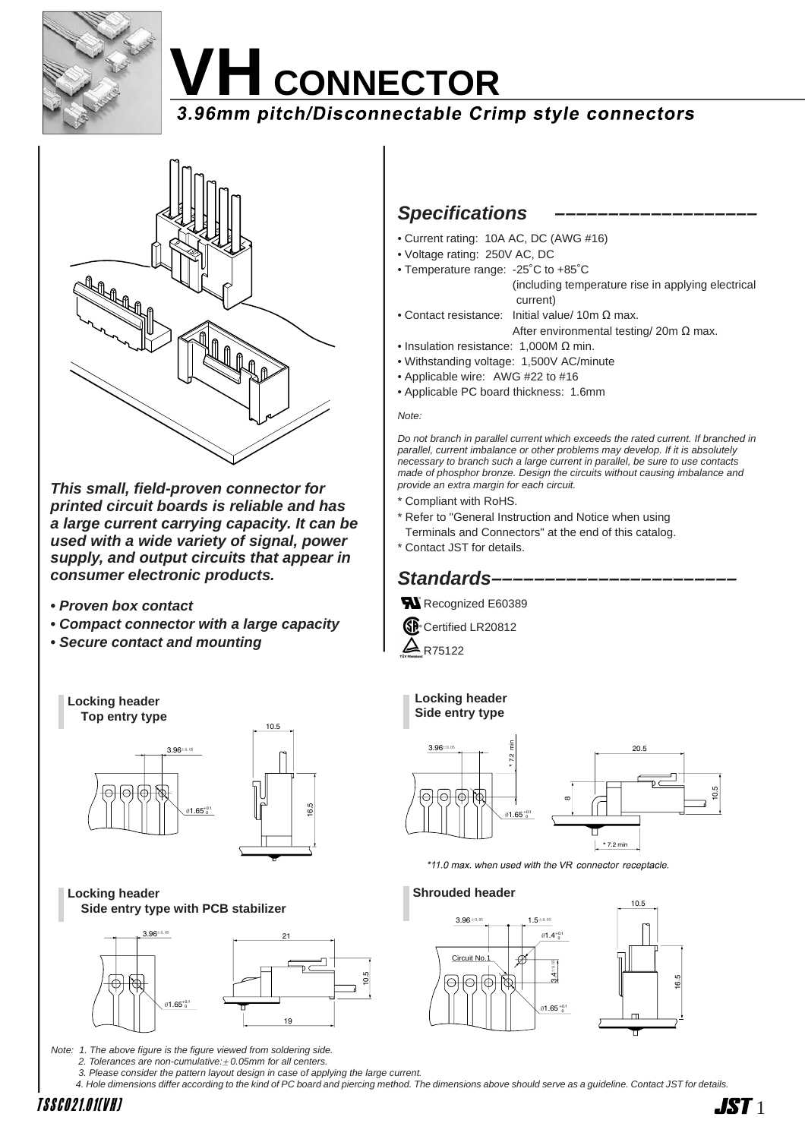

# **VH** CONNECTOR<br>3.96mm pitch/Disconnectable Crimp style connectors



**This small, field-proven connector for printed circuit boards is reliable and has a large current carrying capacity. It can be used with a wide variety of signal, power supply, and output circuits that appear in consumer electronic products.**

- **Proven box contact**
- **Compact connector with a large capacity**
- **Secure contact and mounting**



Note: 1. The above figure is the figure viewed from soldering side.

2. Tolerances are non-cumulative: $\pm$  0.05mm for all centers.

3. Please consider the pattern layout design in case of applying the large current.

4. Hole dimensions differ according to the kind of PC board and piercing method. The dimensions above should serve as a guideline. Contact JST for details.

 $\blacksquare$ 

## **Specifications**

- Current rating: 10A AC, DC (AWG #16)
- Voltage rating: 250V AC, DC
- Temperature range: -25˚C to +85˚C

(including temperature rise in applying electrical current)

- Contact resistance: Initial value/ 10m Ω max. After environmental testing/ 20m Ω max.
- Insulation resistance: 1,000M Ω min.
- Withstanding voltage: 1,500V AC/minute
- Applicable wire: AWG #22 to #16
- Applicable PC board thickness: 1.6mm

#### Note:

Do not branch in parallel current which exceeds the rated current. If branched in parallel, current imbalance or other problems may develop. If it is absolutely necessary to branch such a large current in parallel, be sure to use contacts made of phosphor bronze. Design the circuits without causing imbalance and provide an extra margin for each circuit.

- Compliant with RoHS.
- \* Refer to "General Instruction and Notice when using
- Terminals and Connectors" at the end of this catalog.
- \* Contact JST for details.

## **Standards-**

Recognized E60389

Certified LR20812

 $A$  R75122

#### **Locking header Side entry type**



\*11.0 max. when used with the VR connector receptacle.

#### **Shrouded header**

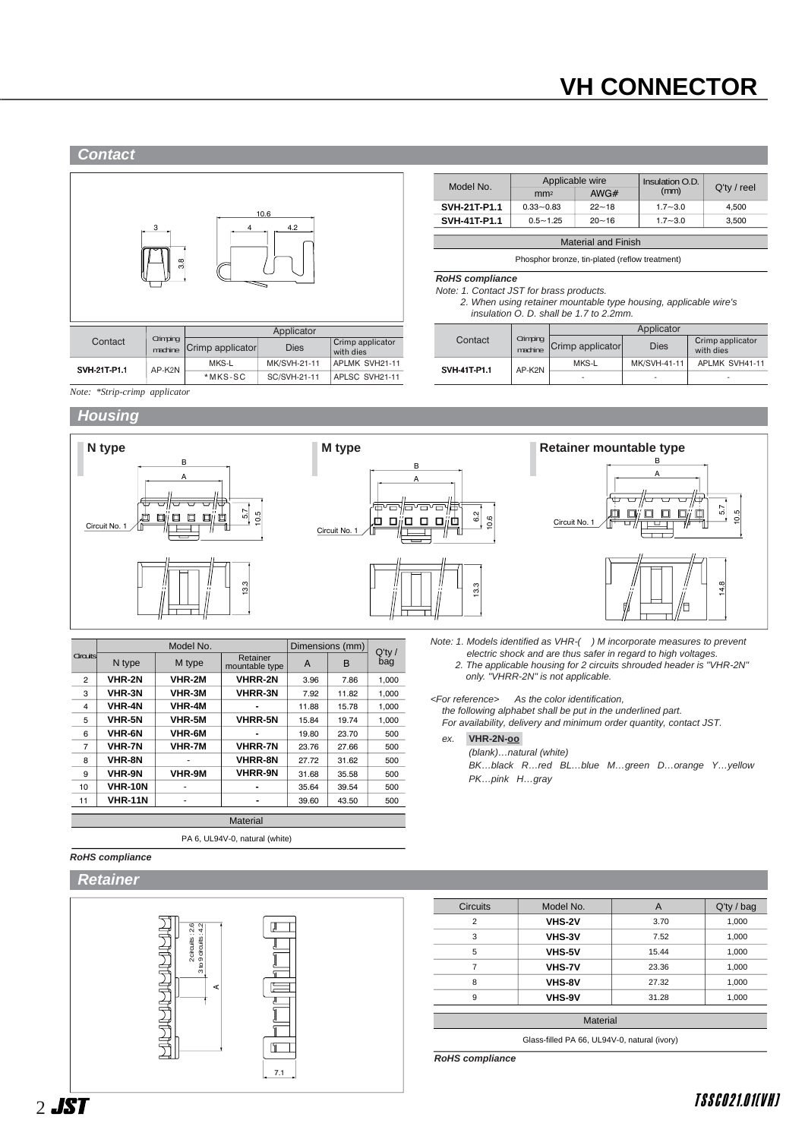## **VH CONNECTOR**



| Model No.                  | Applicable wire |           | Insulation O.D. |                |  |  |
|----------------------------|-----------------|-----------|-----------------|----------------|--|--|
|                            | mm <sup>2</sup> | AWG $#$   | (mm)            | $Q'$ ty / reel |  |  |
| SVH-21T-P1.1               | $0.33 - 0.83$   | $22 - 18$ | $1.7 - 3.0$     | 4.500          |  |  |
| <b>SVH-41T-P1.1</b>        | $0.5 - 1.25$    | $20 - 16$ | $1.7 - 3.0$     | 3.500          |  |  |
|                            |                 |           |                 |                |  |  |
| <b>Material and Finish</b> |                 |           |                 |                |  |  |

Phosphor bronze, tin-plated (reflow treatment)

#### **RoHS compliance**

#### Note: 1. Contact JST for brass products.

2. When using retainer mountable type housing, applicable wire's insulation O. D. shall be 1.7 to 2.2mm.

|                     |                     |                  | Applicator               |                               |
|---------------------|---------------------|------------------|--------------------------|-------------------------------|
| Contact             | Crimping<br>machine | Crimp applicator | <b>Dies</b>              | Crimp applicator<br>with dies |
|                     | AP-K2N              | MKS-L            | MK/SVH-41-11             | APLMK SVH41-11                |
| <b>SVH-41T-P1.1</b> |                     | ۰                | $\overline{\phantom{a}}$ | ۰                             |

*Note: \*Strip-crimp applicator*

#### **Housing**



|                |                | Model No.     |                            | Dimensions (mm) | $Q'$ ty / |       |  |  |
|----------------|----------------|---------------|----------------------------|-----------------|-----------|-------|--|--|
| Circuits       | N type         | M type        | Retainer<br>mountable type | A               | B         | bag   |  |  |
| $\overline{2}$ | VHR-2N         | VHR-2M        | <b>VHRR-2N</b>             | 3.96            | 7.86      | 1.000 |  |  |
| 3              | <b>VHR-3N</b>  | <b>VHR-3M</b> | <b>VHRR-3N</b>             | 7.92            | 11.82     | 1.000 |  |  |
| 4              | <b>VHR-4N</b>  | <b>VHR-4M</b> |                            | 11.88           | 15.78     | 1.000 |  |  |
| 5              | <b>VHR-5N</b>  | <b>VHR-5M</b> | <b>VHRR-5N</b>             | 15.84           | 19.74     | 1.000 |  |  |
| 6              | <b>VHR-6N</b>  | <b>VHR-6M</b> |                            | 19.80           | 23.70     | 500   |  |  |
| 7              | <b>VHR-7N</b>  | <b>VHR-7M</b> | <b>VHRR-7N</b>             | 23.76           | 27.66     | 500   |  |  |
| 8              | <b>VHR-8N</b>  |               | <b>VHRR-8N</b>             | 27.72           | 31.62     | 500   |  |  |
| 9              | <b>VHR-9N</b>  | VHR-9M        | <b>VHRR-9N</b>             | 31.68           | 35.58     | 500   |  |  |
| 10             | <b>VHR-10N</b> |               |                            | 35.64           | 39.54     | 500   |  |  |
| 11             | <b>VHR-11N</b> |               |                            | 39.60           | 43.50     | 500   |  |  |
|                |                |               |                            |                 |           |       |  |  |
|                | Material       |               |                            |                 |           |       |  |  |

PA 6, UL94V-0, natural (white)

#### **RoHS compliance**

#### **Retainer**



| <b>Circuits</b> | Model No.     | A     | Q'ty / bag |
|-----------------|---------------|-------|------------|
| 2               | VHS-2V        | 3.70  | 1,000      |
| 3               | <b>VHS-3V</b> | 7.52  | 1,000      |
| 5               | VHS-5V        | 15.44 | 1,000      |
| $\overline{7}$  | <b>VHS-7V</b> | 23.36 | 1,000      |
| 8               | VHS-8V        | 27.32 | 1,000      |
| 9               | VHS-9V        | 31.28 | 1,000      |

**RoHS compliance**



Note: 1. Models identified as VHR-( ) M incorporate measures to prevent electric shock and are thus safer in regard to high voltages. 2. The applicable housing for 2 circuits shrouded header is "VHR-2N" only. "VHRR-2N" is not applicable.

<For reference> As the color identification,

the following alphabet shall be put in the underlined part.

For availability, delivery and minimum order quantity, contact JST.

ex. **VHR-2N-oo-**

(blank)…natural (white)

BK…black R…red BL…blue M…green D…orange Y…yellow PK…pink H…gray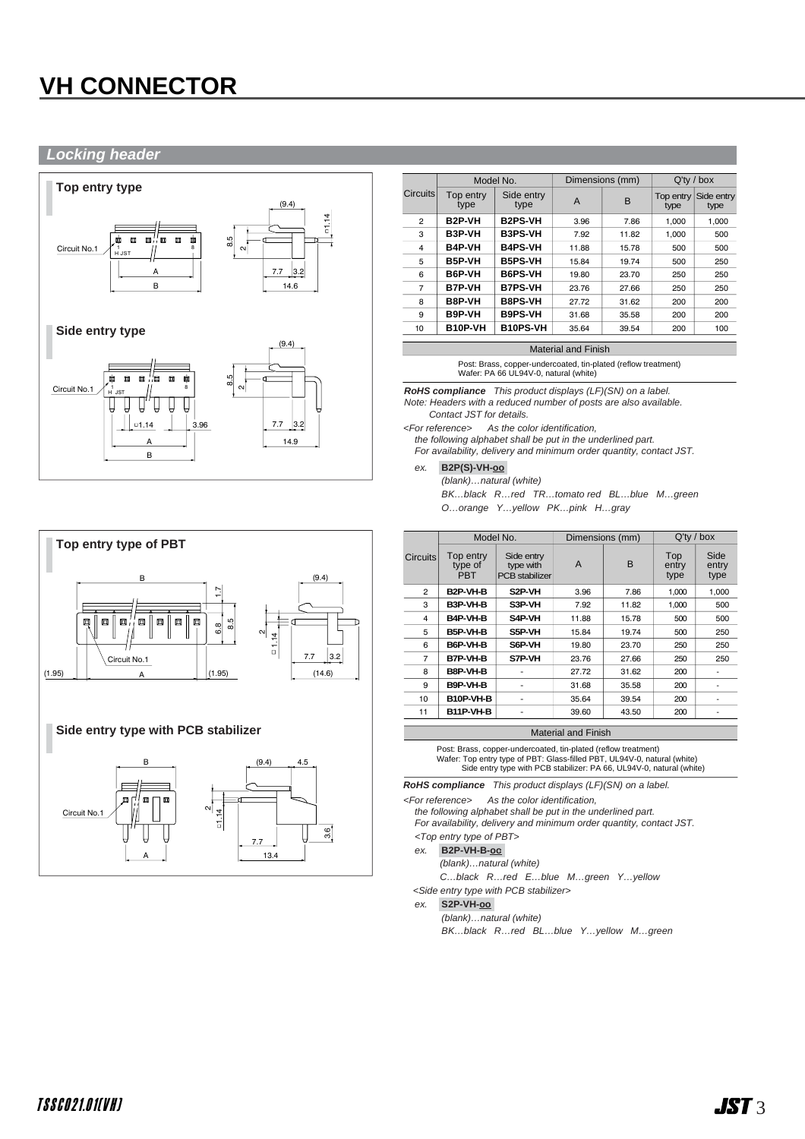## **VH CONNECTOR**

#### **Locking header**





|                 |                     | Model No.          | Dimensions (mm) |       | $Q'$ ty / box     |                    |  |
|-----------------|---------------------|--------------------|-----------------|-------|-------------------|--------------------|--|
| <b>Circuits</b> | Top entry<br>type   | Side entry<br>type | A               | B     | Top entry<br>type | Side entry<br>type |  |
| $\mathbf{2}$    | B <sub>2</sub> P-VH | <b>B2PS-VH</b>     | 3.96            | 7.86  | 1.000             | 1.000              |  |
| 3               | B3P-VH              | <b>B3PS-VH</b>     | 7.92            | 11.82 | 1.000             | 500                |  |
| 4               | <b>B4P-VH</b>       | <b>B4PS-VH</b>     | 11.88           | 15.78 | 500               | 500                |  |
| 5               | B5P-VH              | <b>B5PS-VH</b>     | 15.84           | 19.74 | 500               | 250                |  |
| 6               | B6P-VH              | <b>B6PS-VH</b>     | 19.80           | 23.70 | 250               | 250                |  |
| 7               | <b>B7P-VH</b>       | <b>B7PS-VH</b>     | 23.76           | 27.66 | 250               | 250                |  |
| 8               | B8P-VH              | <b>B8PS-VH</b>     | 27.72           | 31.62 | 200               | 200                |  |
| 9               | B9P-VH              | <b>B9PS-VH</b>     | 31.68           | 35.58 | 200               | 200                |  |
| 10              | B10P-VH             | <b>B10PS-VH</b>    | 35.64           | 39.54 | 200               | 100                |  |
|                 |                     |                    |                 |       |                   |                    |  |

Material and Finish

Post: Brass, copper-undercoated, tin-plated (reflow treatment) Wafer: PA 66 UL94V-0, natural (white)

**RoHS compliance** This product displays (LF)(SN) on a label. Note: Headers with a reduced number of posts are also available. Contact JST for details.

<For reference> As the color identification,

the following alphabet shall be put in the underlined part. For availability, delivery and minimum order quantity, contact JST.

ex. **B2P(S)-VH-oo-**

(blank)…natural (white) BK…black R…red TR…tomato red BL…blue M…green O…orange Y…yellow PK…pink H…gray

|                 | Model No.                          |                                                  | Dimensions (mm) |       | $Q'$ ty / box        |                       |
|-----------------|------------------------------------|--------------------------------------------------|-----------------|-------|----------------------|-----------------------|
| <b>Circuits</b> | Top entry<br>type of<br><b>PBT</b> | Side entry<br>type with<br><b>PCB</b> stabilizer | A               | B     | Top<br>entry<br>type | Side<br>entry<br>type |
| 2               | B <sub>2</sub> P-VH-B              | S <sub>2</sub> P-VH                              | 3.96            | 7.86  | 1.000                | 1.000                 |
| 3               | B3P-VH-B                           | S3P-VH                                           | 7.92            | 11.82 | 1.000                | 500                   |
| 4               | B4P-VH-B                           | S4P-VH                                           | 11.88           | 15.78 | 500                  | 500                   |
| 5               | B5P-VH-B                           | S5P-VH                                           | 15.84           | 19.74 | 500                  | 250                   |
| 6               | B6P-VH-B                           | S6P-VH                                           | 19.80           | 23.70 | 250                  | 250                   |
| $\overline{7}$  | B7P-VH-B                           | S7P-VH                                           | 23.76           | 27.66 | 250                  | 250                   |
| 8               | B8P-VH-B                           |                                                  | 27.72           | 31.62 | 200                  | ۰                     |
| 9               | B9P-VH-B                           | ٠                                                | 31.68           | 35.58 | 200                  | ٠                     |
| 10              | B10P-VH-B                          | ٠                                                | 35.64           | 39.54 | 200                  | ٠                     |
| 11              | <b>B11P-VH-B</b>                   |                                                  | 39.60           | 43.50 | 200                  | ٠                     |
|                 |                                    |                                                  |                 |       |                      |                       |

Material and Finish

Post: Brass, copper-undercoated, tin-plated (reflow treatment) Wafer: Top entry type of PBT: Glass-filled PBT, UL94V-0, natural (white) Side entry type with PCB stabilizer: PA 66, UL94V-0, natural (white)

**RoHS compliance** This product displays (LF)(SN) on a label.

<For reference> As the color identification,

the following alphabet shall be put in the underlined part. For availability, delivery and minimum order quantity, contact JST.

<Top entry type of PBT>

- ex. **B2P-VH-B-oo-**
	- (blank)…natural (white)

C…black R…red E…blue M…green Y…yellow

<Side entry type with PCB stabilizer>

ex. **S2P-VH-oo-**

(blank)…natural (white)

BK…black R…red BL…blue Y…yellow M…green